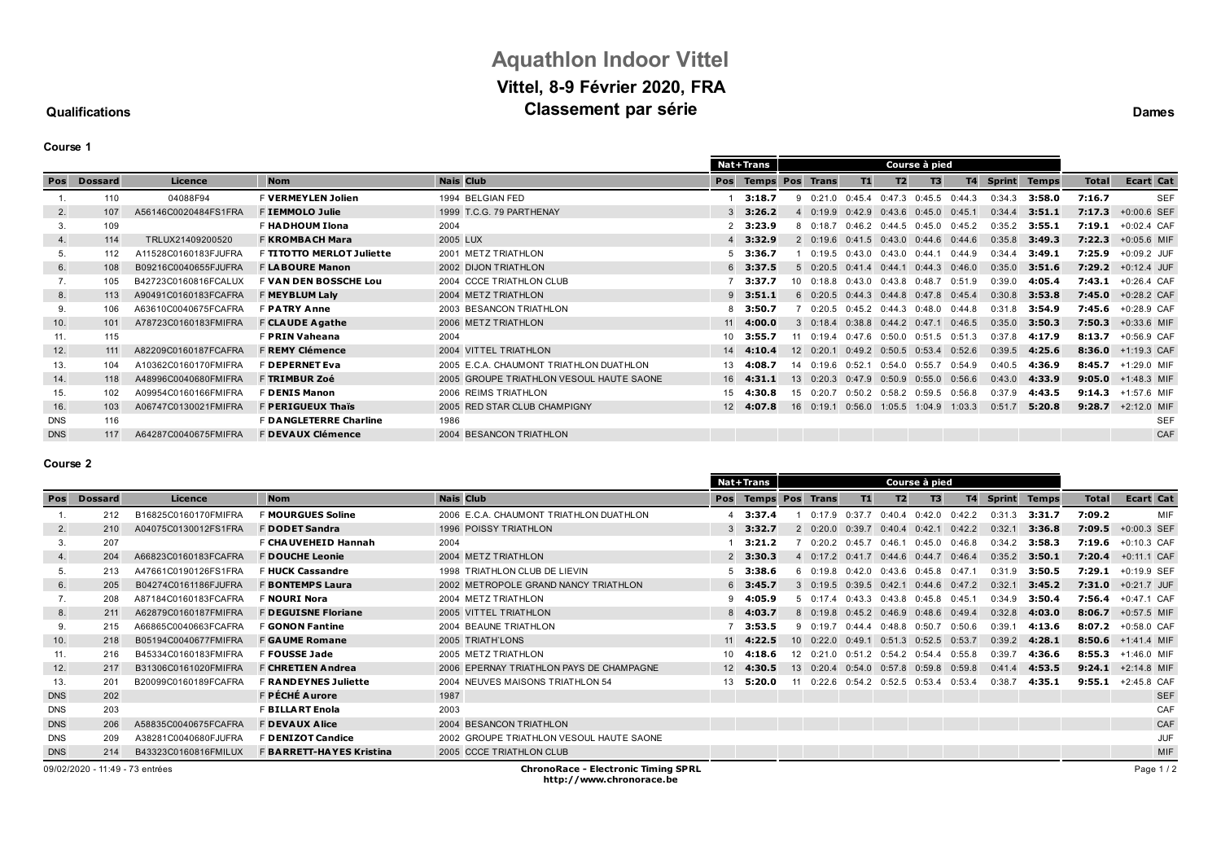## **Aquathlon Indoor Vittel Vittel, 8-9 Février 2020, FRA Classement par série Dames Dames**

## **Qualifications**

**Course 1**

|            |                |                      |                                  |                                          |                  | Nat+Trans              |                                |        |                            |                            |           |        |              |              |                  |            |
|------------|----------------|----------------------|----------------------------------|------------------------------------------|------------------|------------------------|--------------------------------|--------|----------------------------|----------------------------|-----------|--------|--------------|--------------|------------------|------------|
| Pos        | <b>Dossard</b> | Licence              | <b>Nom</b>                       | <b>Nais Club</b>                         | Pos              | <b>Temps Pos Trans</b> |                                | T1     | T2                         | T <sub>3</sub>             | <b>T4</b> | Sprint | <b>Temps</b> | <b>Total</b> | <b>Ecart Cat</b> |            |
|            | 110            | 04088F94             | <b>F VERMEYLEN Jolien</b>        | 1994 BELGIAN FED                         |                  | 3:18.7                 | 0:21.0                         | 0:45.4 | 0:47.3                     | $0:45.5$ $0:44.3$          |           | 0:34.3 | 3:58.0       | 7:16.7       |                  | <b>SEF</b> |
| 2.         | 107            | A56146C0020484FS1FRA | F IEMMOLO Julie                  | 1999 T.C.G. 79 PARTHENAY                 |                  | 3:26.2                 | 4 0:19.9 0:42.9                |        | 0:43.6                     | 0:45.0                     | 0:45.1    | 0:34.4 | 3:51.1       | 7:17.3       | $+0:00.6$ SEF    |            |
| 3.         | 109            |                      | F HADHOUM Ilona                  | 2004                                     | 2                | 3:23.9                 | 8 0:18.7 0:46.2                |        | $0:44.5$ $0:45.0$ $0:45.2$ |                            |           | 0:35.2 | 3:55.1       | 7:19.1       | +0:02.4 CAF      |            |
| 4.         | 114            | TRLUX21409200520     | <b>F KROMBACH Mara</b>           | 2005 LUX                                 |                  | 3:32.9                 | $2 \t 0:19.6 \t 0:41.5$        |        | 0:43.0                     | $0.44.6$ $0.44.6$          |           | 0:35.8 | 3:49.3       | 7:22.3       | +0:05.6 MIF      |            |
| 5.         | 112            | A11528C0160183FJUFRA | F <b>TITOTTO MERLOT Juliette</b> | 2001 METZ TRIATHLON                      |                  | 3:36.7                 | $0:19.5$ $0:43.0$              |        | 0.430                      | 0:44.1                     | 0:44.9    | 0:34.4 | 3:49.1       | 7:25.9       | +0:09.2 JUF      |            |
| 6.         | 108            | B09216C0040655FJUFRA | <b>F LABOURE Manon</b>           | 2002 DIJON TRIATHLON                     |                  | $6$ 3:37.5             | $5$ 0:20.5 0:41.4              |        | $0:44.1$ $0:44.3$ $0:46.0$ |                            |           | 0:35.0 | 3:51.6       | 7:29.2       | $+0:12.4$ JUF    |            |
| 7.         | 105            | B42723C0160816FCALUX | <b>F VAN DEN BOSSCHE Lou</b>     | 2004 CCCE TRIATHLON CLUB                 |                  | 3:37.7                 | $10 \quad 0:18.8 \quad 0:43.0$ |        |                            | $0:43.8$ $0:48.7$          | 0:51.9    | 0:39.0 | 4:05.4       | 7:43.1       | $+0:26.4$ CAF    |            |
| 8.         | 113            | A90491C0160183FCAFRA | F MEYBLUM Laly                   | 2004 METZ TRIATHLON                      |                  | $9$ 3:51.1             | $6$ 0:20.5 0:44.3              |        | 0:44.8 0:47.8 0:45.4       |                            |           | 0:30.8 | 3:53.8       | 7:45.0       | $+0:28.2$ CAF    |            |
| 9.         | 106            | A63610C0040675FCAFRA | <b>F PATRY Anne</b>              | 2003 BESANCON TRIATHLON                  | 8                | 3:50.7                 | $0:20.5$ $0:45.2$              |        | $0:44.3$ $0:48.0$ $0:44.8$ |                            |           | 0:31.8 | 3:54.9       | 7:45.6       | +0:28.9 CAF      |            |
| 10.        | 101            | A78723C0160183FMIFRA | <b>F CLAUDE Agathe</b>           | 2006 METZ TRIATHLON                      | 11               | 4:00.0                 | $3\quad 0:18.4\quad 0:38.8$    |        |                            | $0:44.2$ $0:47.1$ $0:46.5$ |           | 0:35.0 | 3:50.3       | 7:50.3       | $+0:33.6$ MIF    |            |
| 11.        | 115            |                      | <b>F PRIN Vaheana</b>            | 2004                                     | $10-10$          | 3:55.7                 | $0:19.4$ $0:47.6$              |        | 0:50.0                     | $0:51.5$ $0:51.3$          |           | 0:37.8 | 4:17.9       | 8:13.7       | $+0:56.9$ CAF    |            |
| 12.        | 111            | A82209C0160187FCAFRA | <b>F REMY Clémence</b>           | 2004 VITTEL TRIATHLON                    | 14               | 4:10.4                 | $12 \quad 0:20.1$              | 0:49.2 |                            | $0:50.5$ $0:53.4$          | 0:52.6    | 0:39.5 | 4:25.6       | 8:36.0       | $+1:19.3$ CAF    |            |
| 13.        | 104            | A10362C0160170FMIFRA | <b>F DEPERNET Eva</b>            | 2005 E.C.A. CHAUMONT TRIATHLON DUATHLON  | 13 <sup>13</sup> | 4:08.7                 | 14 0:19.6 0:52.1               |        | 0:54.0                     | 0:55.7                     | 0:54.9    | 0:40.5 | 4:36.9       | 8:45.7       | +1:29.0 MIF      |            |
| 14.        | 118            | A48996C0040680FMIFRA | F TRIMBUR Zoé                    | 2005 GROUPE TRIATHLON VESOUL HAUTE SAONE | 16               | 4:31.1                 | 13 0:20.3 0:47.9               |        | $0:50.9$ $0:55.0$ $0:56.6$ |                            |           | 0:43.0 | 4:33.9       | 9:05.0       | $+1:48.3$ MIF    |            |
| 15.        | 102            | A09954C0160166FMIFRA | F <b>DENIS Manon</b>             | 2006 REIMS TRIATHLON                     | 15               | 4:30.8                 | $15 \t 0:20.7$                 | 0:50.2 | $0:58.2$ $0:59.5$          |                            | 0:56.8    | 0:37.9 | 4:43.5       | 9:14.3       | +1:57.6 MIF      |            |
| 16.        | 103            | A06747C0130021FMIFRA | <b>F PERIGUEUX Thaïs</b>         | 2005 RED STAR CLUB CHAMPIGNY             | 12               | 4:07.8                 | $16 \quad 0:19.1$              | 0:56.0 |                            | 1:05.5 1:04.9              | 1:03.3    | 0:51.7 | 5:20.8       | 9:28.7       | $+2:12.0$ MIF    |            |
| <b>DNS</b> | 116            |                      | <b>F DANGLETERRE Charline</b>    | 1986                                     |                  |                        |                                |        |                            |                            |           |        |              |              | <b>SEF</b>       |            |
| <b>DNS</b> | 117            | A64287C0040675FMIFRA | <b>F DEVAUX Clémence</b>         | 2004 BESANCON TRIATHLON                  |                  |                        |                                |        |                            |                            |           |        |              |              |                  | CAF        |
|            |                |                      |                                  |                                          |                  |                        |                                |        |                            |                            |           |        |              |              |                  |            |

#### **Course 2**

|            |                                 |                      |                             |                                            |               | Nat+Trans           |    |                                       |    |                   | Course à pied        |        |               |              |              |                    |
|------------|---------------------------------|----------------------|-----------------------------|--------------------------------------------|---------------|---------------------|----|---------------------------------------|----|-------------------|----------------------|--------|---------------|--------------|--------------|--------------------|
| Pos        | Dossard                         | Licence              | <b>Nom</b>                  | <b>Nais Club</b>                           |               | Pos Temps Pos Trans |    |                                       | T1 | T2                | T3                   | T4     | <b>Sprint</b> | <b>Temps</b> | <b>Total</b> | <b>Ecart Cat</b>   |
|            | 212                             | B16825C0160170FMIFRA | <b>F MOURGUES Soline</b>    | 2006 E.C.A. CHAUMONT TRIATHLON DUATHLON    |               | $4$ 3:37.4          |    | $0:17.9$ $0:37.7$                     |    |                   | $0:40.4$ 0:42.0      | 0:42.2 | 0:31.3        | 3:31.7       | 7:09.2       | MIF                |
| 2.         | 210                             | A04075C0130012FS1FRA | <b>F DODET Sandra</b>       | 1996 POISSY TRIATHLON                      | $\mathcal{B}$ | 3:32.7              |    | $2 \quad 0:20.0 \quad 0:39.7$         |    |                   | $0:40.4$ $0:42.1$    | 0:42.2 | 0:32.1        | 3:36.8       |              | 7:09.5 +0:00.3 SEF |
| 3.         | 207                             |                      | F CHAUVEHEID Hannah         | 2004                                       |               | 3:21.2              |    | $0:20.2$ $0:45.7$                     |    | 0:46.1            | 0:45.0               | 0:46.8 | 0:34.2        | 3:58.3       | 7:19.6       | $+0:10.3$ CAF      |
| 4.         | 204                             | A66823C0160183FCAFRA | <b>F DOUCHE Leonie</b>      | 2004 METZ TRIATHLON                        | $\mathcal{P}$ | 3:30.3              |    | 4 0:17.2 0:41.7 0:44.6 0:44.7 0:46.4  |    |                   |                      |        | 0:35.2        | 3:50.1       | 7:20.4       | $+0:11.1$ CAF      |
| 5.         | 213                             | A47661C0190126FS1FRA | F HUCK Cassandre            | 1998 TRIATHLON CLUB DE LIEVIN              |               | 3:38.6              |    | $6$ 0:19.8 0:42.0                     |    |                   | $0:43.6$ $0:45.8$    | 0:47.1 | 0:31.9        | 3:50.5       | 7:29.1       | +0:19.9 SEF        |
| 6.         | 205                             | B04274C0161186FJUFRA | <b>F BONTEMPS Laura</b>     | 2002 METROPOLE GRAND NANCY TRIATHLON       |               | $6$ 3:45.7          |    | 3 0:19.5 0:39.5 0:42.1                |    |                   | $0:44.6$ $0:47.2$    |        | 0:32.1        | 3:45.2       | 7:31.0       | +0:21.7 JUF        |
| 7.         | 208                             | A87184C0160183FCAFRA | <b>F NOURI Nora</b>         | 2004 METZ TRIATHLON                        | 9             | 4:05.9              |    | 50:17.4                               |    | $0:43.3$ $0:43.8$ | 0:45.8               | 0:45.1 | 0:34.9        | 3:50.4       | 7:56.4       | +0:47.1 CAF        |
| 8.         | 211                             | A62879C0160187FMIFRA | <b>F DEGUISNE Floriane</b>  | 2005 VITTEL TRIATHLON                      | 8             | 4:03.7              |    | 8 0:19.8 0:45.2 0:46.9 0:48.6 0:49.4  |    |                   |                      |        | 0:32.8        | 4:03.0       | 8:06.7       | +0:57.5 MIF        |
| 9.         | 215                             | A66865C0040663FCAFRA | <b>F GONON Fantine</b>      | 2004 BEAUNE TRIATHLON                      |               | 3:53.5              |    | 9 0:19.7 0:44.4 0:48.8 0:50.7         |    |                   |                      | 0:50.6 | 0:39.1        | 4:13.6       | 8:07.2       | +0:58.0 CAF        |
| 10.        | 218                             | B05194C0040677FMIFRA | <b>F GAUME Romane</b>       | 2005 TRIATH'LONS                           |               | $11 \quad 4:22.5$   |    | 10 0:22.0 0:49.1 0:51.3 0:52.5 0:53.7 |    |                   |                      |        | 0:39.2        | 4:28.1       |              | 8:50.6 +1:41.4 MIF |
| 11.        | 216                             | B45334C0160183FMIFRA | F FOUSSE Jade               | 2005 METZ TRIATHLON                        | 10            | 4:18.6              | 12 | 0:21.0                                |    |                   | 0:51.2 0:54.2 0:54.4 | 0:55.8 | 0:39.7        | 4:36.6       | 8:55.3       | $+1:46.0$ MIF      |
| 12.        | 217                             | B31306C0161020FMIFRA | <b>F CHRETIEN Andrea</b>    | 2006 EPERNAY TRIATHLON PAYS DE CHAMPAGNE   | 12            | 4:30.5              |    | 13 0:20.4 0:54.0 0:57.8 0:59.8        |    |                   |                      | 0:59.8 | 0:41.4        | 4:53.5       | 9:24.1       | $+2:14.8$ MIF      |
| 13.        | 201                             | B20099C0160189FCAFRA | <b>F RANDEYNES Juliette</b> | 2004 NEUVES MAISONS TRIATHLON 54           | 13            | 5:20.0              | 11 | 0:22.6 0:54.2 0:52.5 0:53.4           |    |                   |                      | 0:53.4 | 0:38.7        | 4:35.1       | 9:55.1       | +2:45.8 CAF        |
| <b>DNS</b> | 202                             |                      | F PÉCHÉ Aurore              | 1987                                       |               |                     |    |                                       |    |                   |                      |        |               |              |              | <b>SEF</b>         |
| <b>DNS</b> | 203                             |                      | <b>F BILLART Enola</b>      | 2003                                       |               |                     |    |                                       |    |                   |                      |        |               |              |              | CAF                |
| <b>DNS</b> | 206                             | A58835C0040675FCAFRA | <b>F DEVAUX Alice</b>       | 2004 BESANCON TRIATHLON                    |               |                     |    |                                       |    |                   |                      |        |               |              |              | CAF                |
| <b>DNS</b> | 209                             | A38281C0040680FJUFRA | F <b>DENIZOT Candice</b>    | 2002 GROUPE TRIATHLON VESOUL HAUTE SAONE   |               |                     |    |                                       |    |                   |                      |        |               |              |              | <b>JUF</b>         |
| <b>DNS</b> | 214                             | B43323C0160816FMILUX | F BARRETT-HAYES Kristina    | 2005 CCCE TRIATHLON CLUB                   |               |                     |    |                                       |    |                   |                      |        |               |              |              | MIF                |
|            | 09/02/2020 - 11:49 - 73 entrées |                      |                             | <b>ChronoRace - Electronic Timing SPRL</b> |               |                     |    |                                       |    |                   |                      |        |               |              |              | Page 1/2           |

**http://www.chronorace.be**

Page 1 / 2